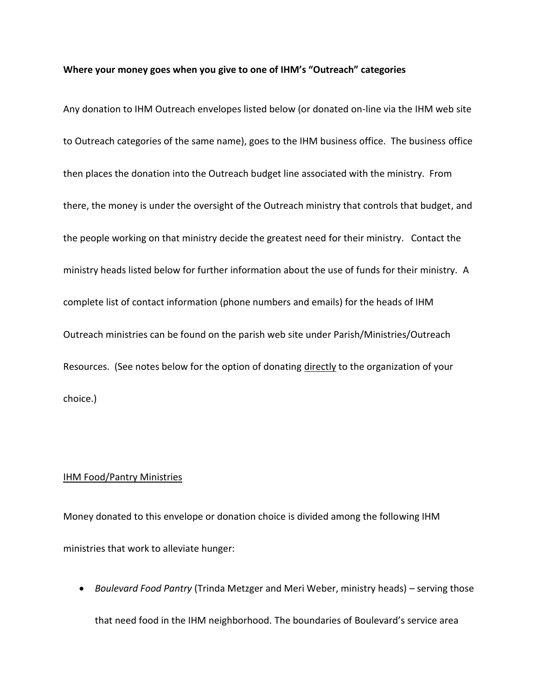## **Where your money goes when you give to one of IHM's "Outreach" categories**

Any donation to IHM Outreach envelopes listed below (or donated on-line via the IHM web site to Outreach categories of the same name), goes to the IHM business office. The business office then places the donation into the Outreach budget line associated with the ministry. From there, the money is under the oversight of the Outreach ministry that controls that budget, and the people working on that ministry decide the greatest need for their ministry. Contact the ministry heads listed below for further information about the use of funds for their ministry. A complete list of contact information (phone numbers and emails) for the heads of IHM Outreach ministries can be found on the parish web site under Parish/Ministries/Outreach Resources. (See notes below for the option of donating directly to the organization of your choice.)

## IHM Food/Pantry Ministries

Money donated to this envelope or donation choice is divided among the following IHM ministries that work to alleviate hunger:

 *Boulevard Food Pantry* (Trinda Metzger and Meri Weber, ministry heads) – serving those that need food in the IHM neighborhood. The boundaries of Boulevard's service area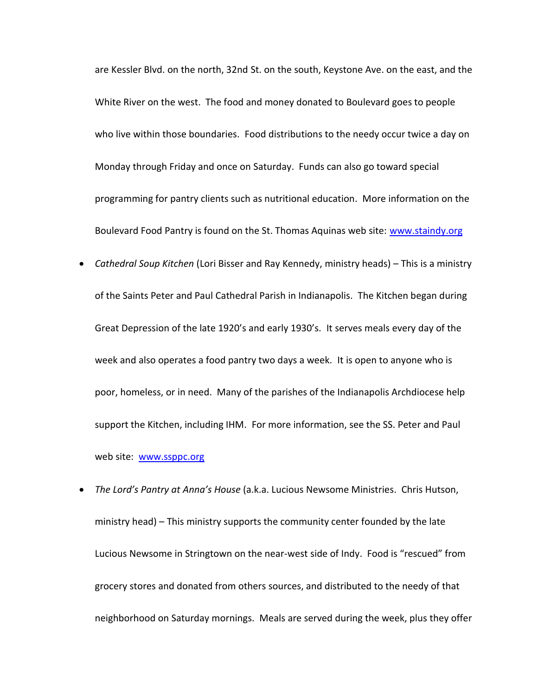are Kessler Blvd. on the north, 32nd St. on the south, Keystone Ave. on the east, and the White River on the west. The food and money donated to Boulevard goes to people who live within those boundaries. Food distributions to the needy occur twice a day on Monday through Friday and once on Saturday. Funds can also go toward special programming for pantry clients such as nutritional education. More information on the Boulevard Food Pantry is found on the St. Thomas Aquinas web site: [www.staindy.org](http://www.staindy.org/)

- *Cathedral Soup Kitchen* (Lori Bisser and Ray Kennedy, ministry heads) This is a ministry of the Saints Peter and Paul Cathedral Parish in Indianapolis. The Kitchen began during Great Depression of the late 1920's and early 1930's. It serves meals every day of the week and also operates a food pantry two days a week. It is open to anyone who is poor, homeless, or in need. Many of the parishes of the Indianapolis Archdiocese help support the Kitchen, including IHM. For more information, see the SS. Peter and Paul web site: [www.ssppc.org](http://www.ssppc.org/)
- *The Lord's Pantry at Anna's House* (a.k.a. Lucious Newsome Ministries. Chris Hutson, ministry head) – This ministry supports the community center founded by the late Lucious Newsome in Stringtown on the near-west side of Indy. Food is "rescued" from grocery stores and donated from others sources, and distributed to the needy of that neighborhood on Saturday mornings. Meals are served during the week, plus they offer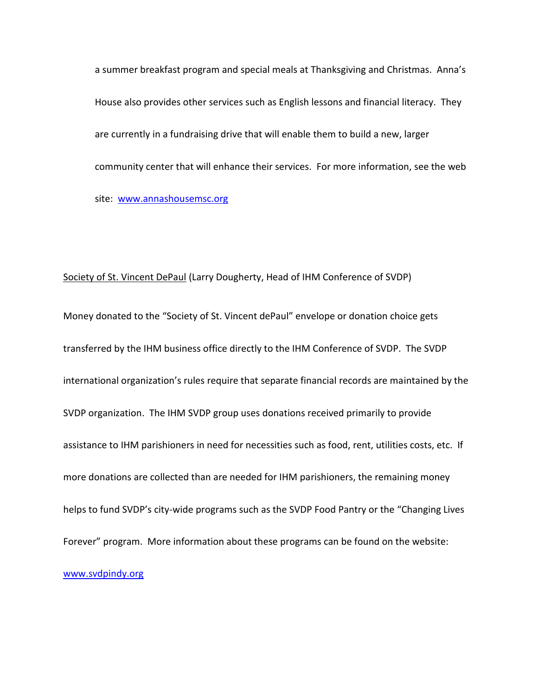a summer breakfast program and special meals at Thanksgiving and Christmas. Anna's House also provides other services such as English lessons and financial literacy. They are currently in a fundraising drive that will enable them to build a new, larger community center that will enhance their services. For more information, see the web site: [www.annashousemsc.org](http://www.annashousemsc.org/)

## Society of St. Vincent DePaul (Larry Dougherty, Head of IHM Conference of SVDP)

Money donated to the "Society of St. Vincent dePaul" envelope or donation choice gets transferred by the IHM business office directly to the IHM Conference of SVDP. The SVDP international organization's rules require that separate financial records are maintained by the SVDP organization. The IHM SVDP group uses donations received primarily to provide assistance to IHM parishioners in need for necessities such as food, rent, utilities costs, etc. If more donations are collected than are needed for IHM parishioners, the remaining money helps to fund SVDP's city-wide programs such as the SVDP Food Pantry or the "Changing Lives Forever" program. More information about these programs can be found on the website: [www.svdpindy.org](http://www.svdpindy.org/)